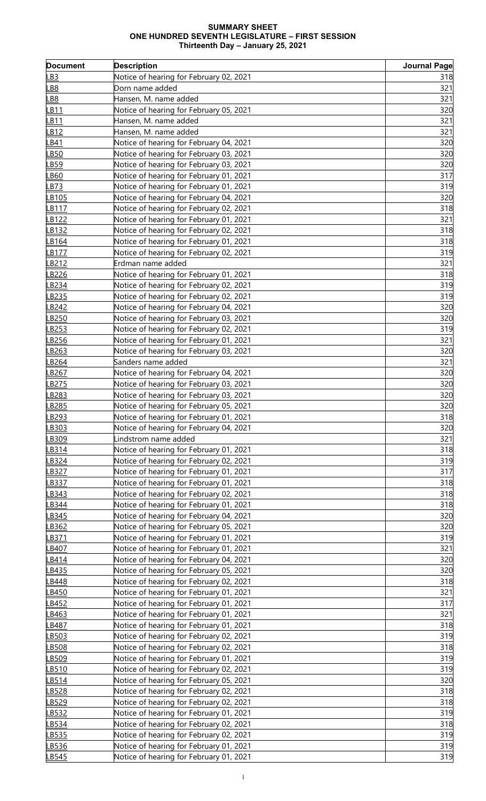## **SUMMARY SHEET ONE HUNDRED SEVENTH LEGISLATURE – FIRST SESSION Thirteenth Day – January 25, 2021**

| <b>Document</b>   | <b>Description</b>                      | <b>Journal Page</b> |
|-------------------|-----------------------------------------|---------------------|
| <u>LB3</u>        | Notice of hearing for February 02, 2021 | 318                 |
| B8                | Dorn name added                         | 321                 |
| <b>B8</b>         | Hansen, M. name added                   | 321                 |
| B11               | Notice of hearing for February 05, 2021 | 320                 |
| B <sub>11</sub>   | Hansen, M. name added                   | 321                 |
| B <sub>12</sub>   | Hansen, M. name added                   | 321                 |
| B41               | Notice of hearing for February 04, 2021 | 320                 |
| B <sub>50</sub>   | Notice of hearing for February 03, 2021 | 320                 |
| B <sub>59</sub>   | Notice of hearing for February 03, 2021 | 320                 |
| B60               | Notice of hearing for February 01, 2021 | 317                 |
| B73               | Notice of hearing for February 01, 2021 | 319                 |
| B <sub>105</sub>  | Notice of hearing for February 04, 2021 | 320                 |
| B117              | Notice of hearing for February 02, 2021 | 318                 |
| B <sub>122</sub>  | Notice of hearing for February 01, 2021 | 321                 |
| B132              | Notice of hearing for February 02, 2021 | 318                 |
| B <sub>164</sub>  | Notice of hearing for February 01, 2021 | 318                 |
| B <sub>177</sub>  | Notice of hearing for February 02, 2021 | 319                 |
| B <sub>212</sub>  | Erdman name added                       | 321                 |
| B226              | Notice of hearing for February 01, 2021 | 318                 |
| B <sub>234</sub>  | Notice of hearing for February 02, 2021 | 319                 |
| B <sub>235</sub>  | Notice of hearing for February 02, 2021 | 319                 |
| B242              | Notice of hearing for February 04, 2021 | 320                 |
| B <sub>250</sub>  | Notice of hearing for February 03, 2021 | 320                 |
| B <sub>253</sub>  | Notice of hearing for February 02, 2021 | 319                 |
| B256              | Notice of hearing for February 01, 2021 | 321                 |
| B <sub>263</sub>  | Notice of hearing for February 03, 2021 | 320                 |
| B <sub>264</sub>  | Sanders name added                      | 321                 |
| B <sub>267</sub>  | Notice of hearing for February 04, 2021 | 320                 |
| B275              | Notice of hearing for February 03, 2021 | 320                 |
| B <sub>283</sub>  | Notice of hearing for February 03, 2021 | 320                 |
| B <sub>2</sub> 85 | Notice of hearing for February 05, 2021 | 320                 |
| <u>B293</u>       | Notice of hearing for February 01, 2021 | 318                 |
| B303              | Notice of hearing for February 04, 2021 | 320                 |
| B309              | Lindstrom name added                    | 321                 |
| B314              | Notice of hearing for February 01, 2021 | 318                 |
| B324              | Notice of hearing for February 02, 2021 | 319                 |
| B327              | Notice of hearing for February 01, 2021 | 317                 |
| B337              | Notice of hearing for February 01, 2021 | 318                 |
| B343              | Notice of hearing for February 02, 2021 | 318                 |
| B344              | Notice of hearing for February 01, 2021 | 318                 |
| B345              | Notice of hearing for February 04, 2021 | 320                 |
| B362              | Notice of hearing for February 05, 2021 | 320                 |
| B371              | Notice of hearing for February 01, 2021 | 319                 |
| B407              | Notice of hearing for February 01, 2021 | 321                 |
| B414              | Notice of hearing for February 04, 2021 | 320                 |
| B435              | Notice of hearing for February 05, 2021 | 320                 |
| B448              | Notice of hearing for February 02, 2021 | 318                 |
| B450              | Notice of hearing for February 01, 2021 | 321                 |
| B452              | Notice of hearing for February 01, 2021 | 317                 |
| B463              | Notice of hearing for February 01, 2021 | 321                 |
| B487              | Notice of hearing for February 01, 2021 | 318                 |
| B503              | Notice of hearing for February 02, 2021 | 319                 |
| B508              | Notice of hearing for February 02, 2021 | 318                 |
| B509              | Notice of hearing for February 01, 2021 | 319                 |
| B510              | Notice of hearing for February 02, 2021 | 319                 |
| B514              | Notice of hearing for February 05, 2021 | 320                 |
| B528              | Notice of hearing for February 02, 2021 | 318                 |
| B529              | Notice of hearing for February 02, 2021 | 318                 |
| B532              | Notice of hearing for February 01, 2021 | 319                 |
| B534              | Notice of hearing for February 02, 2021 | 318                 |
| B535              | Notice of hearing for February 02, 2021 | 319                 |
| B536              | Notice of hearing for February 01, 2021 | 319                 |
| B545              | Notice of hearing for February 01, 2021 | 319                 |